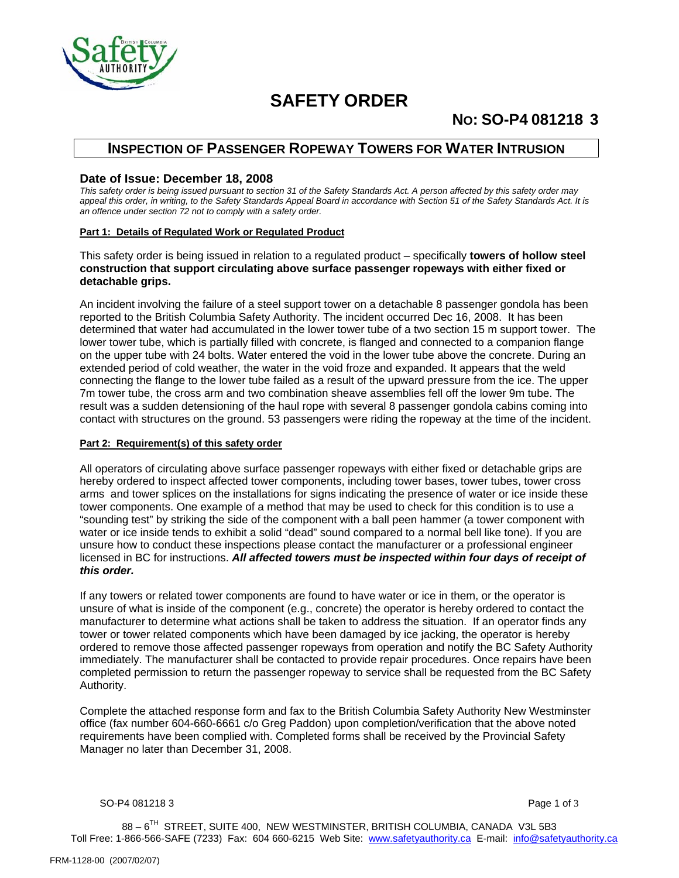

# **SAFETY ORDER**

# **NO: SO-P4 081218 3**

## **INSPECTION OF PASSENGER ROPEWAY TOWERS FOR WATER INTRUSION**

### **Date of Issue: December 18, 2008**

*This safety order is being issued pursuant to section 31 of the Safety Standards Act. A person affected by this safety order may appeal this order, in writing, to the Safety Standards Appeal Board in accordance with Section 51 of the Safety Standards Act. It is an offence under section 72 not to comply with a safety order.* 

### **Part 1: Details of Regulated Work or Regulated Product**

This safety order is being issued in relation to a regulated product – specifically **towers of hollow steel construction that support circulating above surface passenger ropeways with either fixed or detachable grips.** 

An incident involving the failure of a steel support tower on a detachable 8 passenger gondola has been reported to the British Columbia Safety Authority. The incident occurred Dec 16, 2008. It has been determined that water had accumulated in the lower tower tube of a two section 15 m support tower. The lower tower tube, which is partially filled with concrete, is flanged and connected to a companion flange on the upper tube with 24 bolts. Water entered the void in the lower tube above the concrete. During an extended period of cold weather, the water in the void froze and expanded. It appears that the weld connecting the flange to the lower tube failed as a result of the upward pressure from the ice. The upper 7m tower tube, the cross arm and two combination sheave assemblies fell off the lower 9m tube. The result was a sudden detensioning of the haul rope with several 8 passenger gondola cabins coming into contact with structures on the ground. 53 passengers were riding the ropeway at the time of the incident.

#### **Part 2: Requirement(s) of this safety order**

All operators of circulating above surface passenger ropeways with either fixed or detachable grips are hereby ordered to inspect affected tower components, including tower bases, tower tubes, tower cross arms and tower splices on the installations for signs indicating the presence of water or ice inside these tower components. One example of a method that may be used to check for this condition is to use a "sounding test" by striking the side of the component with a ball peen hammer (a tower component with water or ice inside tends to exhibit a solid "dead" sound compared to a normal bell like tone). If you are unsure how to conduct these inspections please contact the manufacturer or a professional engineer licensed in BC for instructions. All affected towers must be inspected within four days of receipt of *this order.* 

If any towers or related tower components are found to have water or ice in them, or the operator is unsure of what is inside of the component (e.g., concrete) the operator is hereby ordered to contact the manufacturer to determine what actions shall be taken to address the situation. If an operator finds any tower or tower related components which have been damaged by ice jacking, the operator is hereby ordered to remove those affected passenger ropeways from operation and notify the BC Safety Authority immediately. The manufacturer shall be contacted to provide repair procedures. Once repairs have been completed permission to return the passenger ropeway to service shall be requested from the BC Safety Authority.

Complete the attached response form and fax to the British Columbia Safety Authority New Westminster office (fax number 604-660-6661 c/o Greg Paddon) upon completion/verification that the above noted requirements have been complied with. Completed forms shall be received by the Provincial Safety Manager no later than December 31, 2008.

SO-P4 081218 3 Page 1 of 3

88 – 6<sup>TH</sup> STREET, SUITE 400, NEW WESTMINSTER, BRITISH COLUMBIA, CANADA V3L 5B3 Toll Free: 1-866-566-SAFE (7233) Fax: 604 660-6215 Web Site: www.safetyauthority.ca E-mail: info@safetyauthority.ca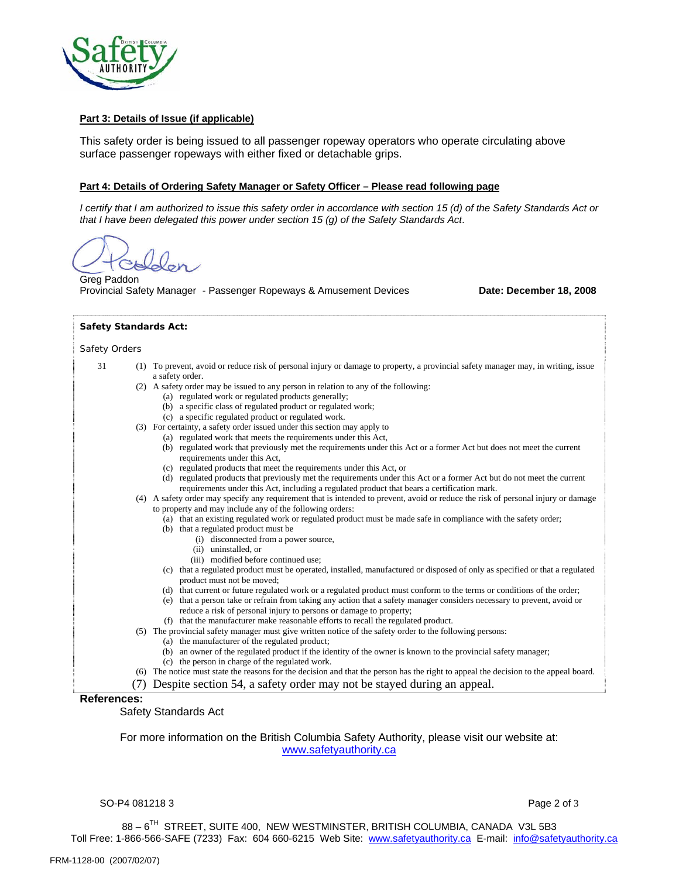

#### **Part 3: Details of Issue (if applicable)**

This safety order is being issued to all passenger ropeway operators who operate circulating above surface passenger ropeways with either fixed or detachable grips.

#### **Part 4: Details of Ordering Safety Manager or Safety Officer – Please read following page**

*I certify that I am authorized to issue this safety order in accordance with section 15 (d) of the Safety Standards Act or that I have been delegated this power under section 15 (g) of the Safety Standards Act*.

Ļ

Greg Paddon Provincial Safety Manager - Passenger Ropeways & Amusement Devices **Date: December 18, 2008** 

### *Safety Standards Act:*

#### Safety Orders

- 31 (1) To prevent, avoid or reduce risk of personal injury or damage to property, a provincial safety manager may, in writing, issue a safety order.
	- (2) A safety order may be issued to any person in relation to any of the following:
		- (a) regulated work or regulated products generally;
		- (b) a specific class of regulated product or regulated work;
		- (c) a specific regulated product or regulated work.
	- (3) For certainty, a safety order issued under this section may apply to
		- (a) regulated work that meets the requirements under this Act,
		- (b) regulated work that previously met the requirements under this Act or a former Act but does not meet the current requirements under this Act,
		- (c) regulated products that meet the requirements under this Act, or
		- (d) regulated products that previously met the requirements under this Act or a former Act but do not meet the current requirements under this Act, including a regulated product that bears a certification mark.
	- (4) A safety order may specify any requirement that is intended to prevent, avoid or reduce the risk of personal injury or damage to property and may include any of the following orders:
		- (a) that an existing regulated work or regulated product must be made safe in compliance with the safety order;
		- (b) that a regulated product must be
			- (i) disconnected from a power source,
			- (ii) uninstalled, or
			- (iii) modified before continued use;
		- (c) that a regulated product must be operated, installed, manufactured or disposed of only as specified or that a regulated product must not be moved;
		- (d) that current or future regulated work or a regulated product must conform to the terms or conditions of the order;
		- (e) that a person take or refrain from taking any action that a safety manager considers necessary to prevent, avoid or reduce a risk of personal injury to persons or damage to property;
		- (f) that the manufacturer make reasonable efforts to recall the regulated product.
	- (5) The provincial safety manager must give written notice of the safety order to the following persons:
		- (a) the manufacturer of the regulated product;
		- (b) an owner of the regulated product if the identity of the owner is known to the provincial safety manager;
		- (c) the person in charge of the regulated work.
	- (6) The notice must state the reasons for the decision and that the person has the right to appeal the decision to the appeal board.
	- (7) Despite section 54, a safety order may not be stayed during an appeal.

#### **References:**

#### Safety Standards Act

For more information on the British Columbia Safety Authority, please visit our website at: www.safetyauthority.ca

SO-P4 081218 3 Page 2 of 3

88 – 6<sup>TH</sup> STREET, SUITE 400, NEW WESTMINSTER, BRITISH COLUMBIA, CANADA V3L 5B3 Toll Free: 1-866-566-SAFE (7233) Fax: 604 660-6215 Web Site: www.safetyauthority.ca E-mail: info@safetyauthority.ca